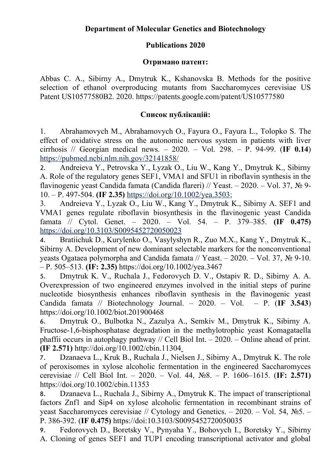## **Publications 2020**

## **Отримано патент:**

Abbas C. A., Sibirny A., Dmytruk K., Kshanovska B. Methods for the positive selection of ethanol overproducing mutants from Saccharomyces cerevisiae US Patent US10577580B2. 2020. https://patents.google.com/patent/US10577580

## **Список публікацій:**

1. Abrahamovych M., Abrahamovych O., Fayura O., Fayura L., Tolopko S. Тhe effect of oxidative stress on the autonomic nervous system in patients with liver cirrhosis // Georgian medical news. – 2020. – Vol. 298. – P. 94-99. (**IF 0.14**) https://pubmed.ncbi.nlm.nih.gov/32141858/

2. Andreieva Y., Petrovska Y., Lyzak O., Liu W., Kang Y., Dmytruk K., Sibirny A. Role of the regulatory genes SEF1, VMA1 and SFU1 in riboflavin synthesis in the flavinogenic yeast Candida famata (Candida flareri) // Yeast. – 2020. – Vol. 37, № 9- 10. – P. 497-504. **(IF 2.35)** https://doi.org/10.1002/yea.3503;

3. Andreieva Y., Lyzak O., Liu W., Kang Y., Dmytruk K., Sibirny A. SEF1 and VMA1 genes regulate riboflavin biosynthesis in the flavinogenic yeast Candida famata // Cytol. Genet. – 2020. – Vol. 54. – P. 379–385. **(IF 0.475)** https://doi.org/10.3103/S0095452720050023

4. Bratiichuk D., Kurylenko O., Vasylyshyn R., Zuo M.X., Kang Y., Dmytruk K., Sibirny A. Development of new dominant selectable markers for the nonconventional yeasts Ogataea polymorpha and Candida famata // Yeast. – 2020. – Vol. 37,  $\mathbb{N}_2$  9-10. – P. 505–513. **(IF: 2.35)** https://doi.org/10.1002/yea.3467

5. Dmytruk K. V., Ruchala J., Fedorovych D. V., Ostapiv R. D., Sibirny A. A. Overexpression of two engineered enzymes involved in the initial steps of purine nucleotide biosynthesis enhances riboflavin synthesis in the flavinogenic yeast Candida famata // Biotechnology Journal. – 2020. – Vol. – P. (**IF 3.543**) https://doi.org/10.1002/biot.201900468

6. Dmytruk O., Bulbotka N., Zazulya A., Semkiv M., Dmytruk K., Sibirny A. Fructose-1,6-bisphosphatase degradation in the methylotrophic yeast Komagataella phaffii occurs in autophagy pathway // Cell Biol Int. – 2020. – Online ahead of print. **(IF 2.571)** http://doi.org/10.1002/cbin.11304

7. Dzanaeva L., Kruk B., Ruchala J., Nielsen J., Sibirny A., Dmytruk K. The role of peroxisomes in xylose alcoholic fermentation in the engineered Saccharomyces cerevisiae // Cell Biol Int. – 2020. – Vol. 44, №8. – P. 1606–1615. (**IF: 2.571)** https://doi.org/10.1002/cbin.11353

8. Dzanaeva L., Ruchala J., Sibirny A., Dmytruk K. The impact of transcriptional factors Znf1 and Sip4 on xylose alcoholic fermentation in recombinant strains of yeast Saccharomyces cerevisiae // Cytology and Genetics. – 2020. – Vol. 54, №5. – P. 386-392. (**IF 0.475)** https://doi:10.3103/S0095452720050035

9. Fedorovych D., Boretsky V., Pynyaha Y., Bohovych I., Boretsky Y., Sibirny A. Cloning of genes SEF1 and TUP1 encoding transcriptional activator and global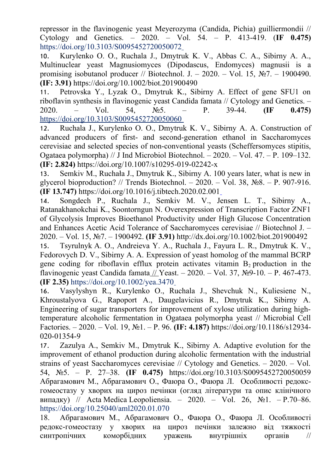repressor in the flavinogenic yeast Meyerozyma (Candida, Pichia) guilliermondii // Cytology and Genetics. – 2020. – Vol. 54. – P. 413-419. (**IF 0.475)** https://doi.org/10.3103/S0095452720050072

10. Kurylenko O. O., Ruchala J., Dmytruk K. V., Abbas C. A., Sibirny A. A., Multinuclear yeast Magnusiomyces (Dipodascus, Endomyces) magnusii is a promising isobutanol producer // Biotechnol. J. – 2020. – Vol. 15,  $\mathbb{N}^2$ . – 1900490. **(IF: 3.91)** https://doi.org/10.1002/biot.201900490

11. Petrovska Y., Lyzak O., Dmytruk K., Sibirny A. Effect of gene SFU1 on riboflavin synthesis in flavinogenic yeast Candida famata // Cytology and Genetics. – 2020. – Vol. 54, №5. – P. 39-44. **(IF 0.475)** https://doi.org/10.3103/S0095452720050060

12. Ruchala J., Kurylenko O. O., Dmytruk K. V., Sibirny A. A. Construction of advanced producers of first- and second-generation ethanol in Saccharomyces cerevisiae and selected species of non-conventional yeasts (Scheffersomyces stipitis, Ogataea polymorpha) // J Ind Microbiol Biotechnol. – 2020. – Vol. 47. – P. 109–132. **(IF: 2.824)** https://doi.org/10.1007/s10295-019-02242-x

13. Semkiv M., Ruchała J., Dmytruk K., Sibirny A. 100 years later, what is new in glycerol bioproduction? // Trends Biotechnol. –  $2020$ . – Vol. 38, No§. – P. 907-916. **(IF 13.747)** https://doi.org/10.1016/j.tibtech.2020.02.001

14. Songdech P., Ruchala J., Semkiv M. V., Jensen L. T., Sibirny A., Ratanakhanokchai K., Soontorngun N. Overexpression of Transcription Factor ZNF1 of Glycolysis Improves Bioethanol Productivity under High Glucose Concentration and Enhances Acetic Acid Tolerance of Saccharomyces cerevisiae // Biotechnol J. – 2020. – Vol. 15, №7. – 1900492. **(IF 3.91)** http://dx.doi.org/10.1002/biot.201900492

15. Tsyrulnyk A. O., Andreieva Y. A., Ruchala J., Fayura L. R., Dmytruk K. V., Fedorovych D. V., Sibirny A. A. Expression of yeast homolog of the mammal BCRP gene coding for riboflavin efflux protein activates vitamin  $B_2$  production in the flavinogenic yeast Candida famata  $//$  Yeast. – 2020. – Vol. 37, No. 9-10. – P. 467-473. **(IF 2.35)** https://doi.org/10.1002/yea.3470

16. Vasylyshyn R., Kurylenko O., Ruchala J., Shevchuk N., Kuliesiene N., Khroustalyova G., Rapoport A., Daugelavicius R., Dmytruk K., Sibirny A. Engineering of sugar transporters for improvement of xylose utilization during hightemperature alcoholic fermentation in Ogataea polymorpha yeast // Microbial Cell Factories. – 2020. – Vol. 19, №1. – P. 96. **(IF: 4.187)** https://doi.org/10.1186/s12934- 020-01354-9

17. Zazulya A., Semkiv M., Dmytruk K., Sibirny A. Adaptive evolution for the improvement of ethanol production during alcoholic fermentation with the industrial strains of yeast Saccharomyces cerevisiae // Cytology and Genetics. – 2020. – Vol. 54, №5. – P. 27–38. **(IF 0.475)** https://doi.org/10.3103/S0095452720050059 Абрагамович М., Абрагамович О., Фаюра О., Фаюра Л. Особливості редоксгомеостазу у хворих на цироз печінки (огляд літератури та опис клінічного випадку) // Acta Medica Leopoliensia. – 2020. – Vol. 26, №1. – P.70–86. https://doi.org/10.25040/aml2020.01.070

18. Абрагамович М., Абрагамович О., Фаюра О., Фаюра Л. Особливості редокс-гомеостазу у хворих на цироз печінки залежно від тяжкості синтропічних коморбідних уражень внутрішніх органів //